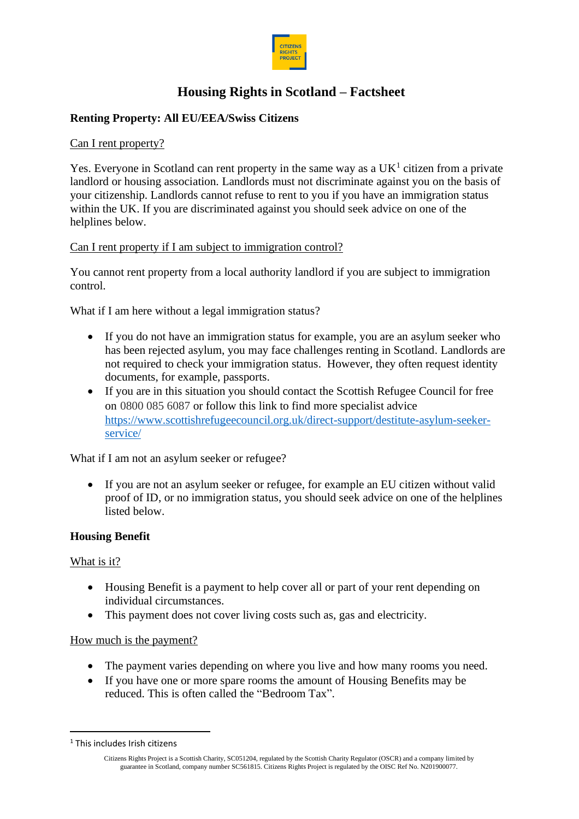

# **Housing Rights in Scotland – Factsheet**

# **Renting Property: All EU/EEA/Swiss Citizens**

### Can I rent property?

Yes. Everyone in Scotland can rent property in the same way as a  $UK<sup>1</sup>$  citizen from a private landlord or housing association. Landlords must not discriminate against you on the basis of your citizenship. Landlords cannot refuse to rent to you if you have an immigration status within the UK. If you are discriminated against you should seek advice on one of the helplines below.

## Can I rent property if I am subject to immigration control?

You cannot rent property from a local authority landlord if you are subject to immigration control.

What if I am here without a legal immigration status?

- If you do not have an immigration status for example, you are an asylum seeker who has been rejected asylum, you may face challenges renting in Scotland. Landlords are not required to check your immigration status. However, they often request identity documents, for example, passports.
- If you are in this situation you should contact the Scottish Refugee Council for free on 0800 085 6087 or follow this link to find more specialist advice [https://www.scottishrefugeecouncil.org.uk/direct-support/destitute-asylum-seeker](https://www.scottishrefugeecouncil.org.uk/direct-support/destitute-asylum-seeker-service/)[service/](https://www.scottishrefugeecouncil.org.uk/direct-support/destitute-asylum-seeker-service/)

What if I am not an asylum seeker or refugee?

• If you are not an asylum seeker or refugee, for example an EU citizen without valid proof of ID, or no immigration status, you should seek advice on one of the helplines listed below.

#### **Housing Benefit**

#### What is it?

- Housing Benefit is a payment to help cover all or part of your rent depending on individual circumstances.
- This payment does not cover living costs such as, gas and electricity.

#### How much is the payment?

- The payment varies depending on where you live and how many rooms you need.
- If you have one or more spare rooms the amount of Housing Benefits may be reduced. This is often called the "Bedroom Tax".

<sup>1</sup> This includes Irish citizens

Citizens Rights Project is a Scottish Charity, SC051204, regulated by the Scottish Charity Regulator (OSCR) and a company limited by guarantee in Scotland, company number SC561815. Citizens Rights Project is regulated by the OISC Ref No. N201900077.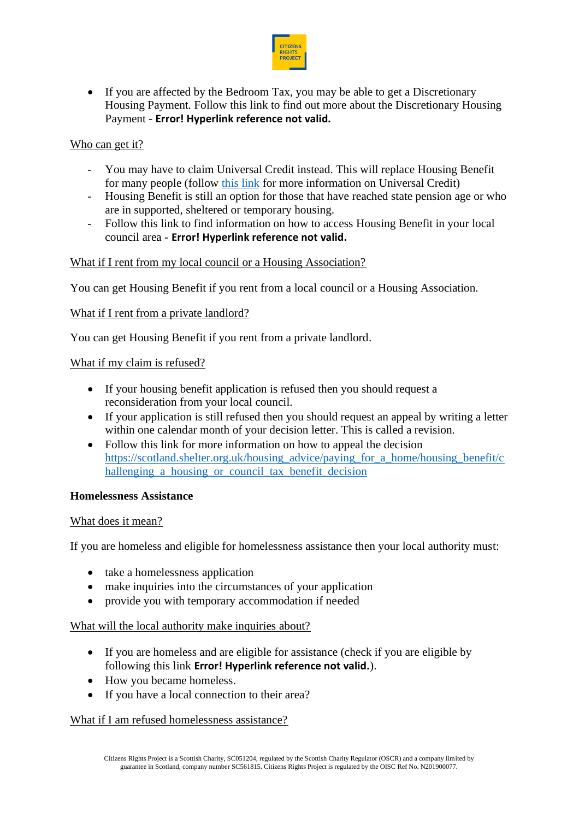

• If you are affected by the Bedroom Tax, you may be able to get a Discretionary Housing Payment. Follow this link to find out more about the Discretionary Housing Payment - **Error! Hyperlink reference not valid.**

## Who can get it?

- You may have to claim Universal Credit instead. This will replace Housing Benefit for many people (follow this link for more information on Universal Credit)
- Housing Benefit is still an option for those that have reached state pension age or who are in supported, sheltered or temporary housing.
- Follow this link to find information on how to access Housing Benefit in your local council area - **Error! Hyperlink reference not valid.**

## What if I rent from my local council or a Housing Association?

You can get Housing Benefit if you rent from a local council or a Housing Association.

## What if I rent from a private landlord?

You can get Housing Benefit if you rent from a private landlord.

#### What if my claim is refused?

- If your housing benefit application is refused then you should request a reconsideration from your local council.
- If your application is still refused then you should request an appeal by writing a letter within one calendar month of your decision letter. This is called a revision.
- Follow this link for more information on how to appeal the decision [https://scotland.shelter.org.uk/housing\\_advice/paying\\_for\\_a\\_home/housing\\_benefit/c](https://scotland.shelter.org.uk/housing_advice/paying_for_a_home/housing_benefit/challenging_a_housing_or_council_tax_benefit_decision) hallenging a housing or council tax benefit decision

#### **Homelessness Assistance**

#### What does it mean?

If you are homeless and eligible for homelessness assistance then your local authority must:

- take a homelessness application
- make inquiries into the circumstances of your application
- provide you with temporary accommodation if needed

#### What will the local authority make inquiries about?

- If you are homeless and are eligible for assistance (check if you are eligible by following this link **Error! Hyperlink reference not valid.**).
- How you became homeless.
- If you have a local connection to their area?

#### What if I am refused homelessness assistance?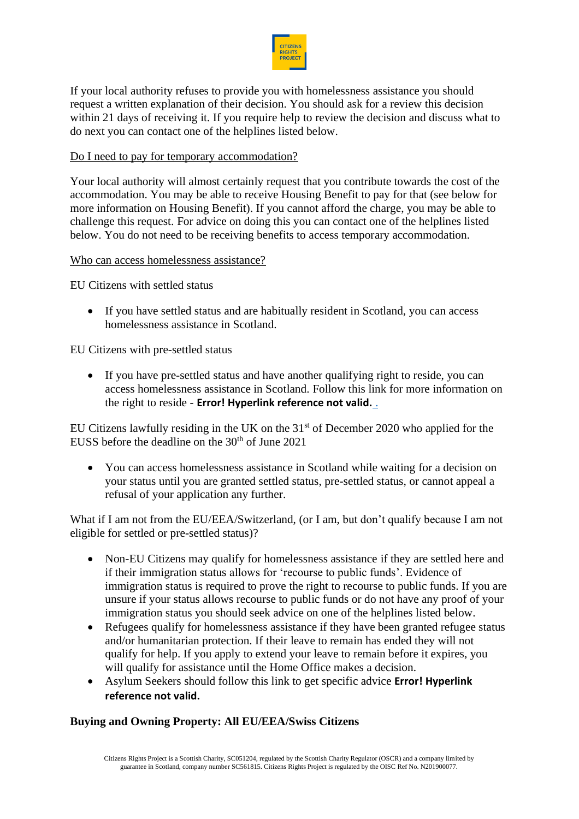

If your local authority refuses to provide you with homelessness assistance you should request a written explanation of their decision. You should ask for a review this decision within 21 days of receiving it. If you require help to review the decision and discuss what to do next you can contact one of the helplines listed below.

## Do I need to pay for temporary accommodation?

Your local authority will almost certainly request that you contribute towards the cost of the accommodation. You may be able to receive Housing Benefit to pay for that (see below for more information on Housing Benefit). If you cannot afford the charge, you may be able to challenge this request. For advice on doing this you can contact one of the helplines listed below. You do not need to be receiving benefits to access temporary accommodation.

#### Who can access homelessness assistance?

EU Citizens with settled status

• If you have settled status and are habitually resident in Scotland, you can access homelessness assistance in Scotland.

EU Citizens with pre-settled status

• If you have pre-settled status and have another qualifying right to reside, you can access homelessness assistance in Scotland. Follow this link for more information on the right to reside - **Error! Hyperlink reference not valid.** .

EU Citizens lawfully residing in the UK on the  $31<sup>st</sup>$  of December 2020 who applied for the EUSS before the deadline on the  $30<sup>th</sup>$  of June 2021

• You can access homelessness assistance in Scotland while waiting for a decision on your status until you are granted settled status, pre-settled status, or cannot appeal a refusal of your application any further.

What if I am not from the EU/EEA/Switzerland, (or I am, but don't qualify because I am not eligible for settled or pre-settled status)?

- Non-EU Citizens may qualify for homelessness assistance if they are settled here and if their immigration status allows for 'recourse to public funds'. Evidence of immigration status is required to prove the right to recourse to public funds. If you are unsure if your status allows recourse to public funds or do not have any proof of your immigration status you should seek advice on one of the helplines listed below.
- Refugees qualify for homelessness assistance if they have been granted refugee status and/or humanitarian protection. If their leave to remain has ended they will not qualify for help. If you apply to extend your leave to remain before it expires, you will qualify for assistance until the Home Office makes a decision.
- Asylum Seekers should follow this link to get specific advice **Error! Hyperlink reference not valid.**

# **Buying and Owning Property: All EU/EEA/Swiss Citizens**